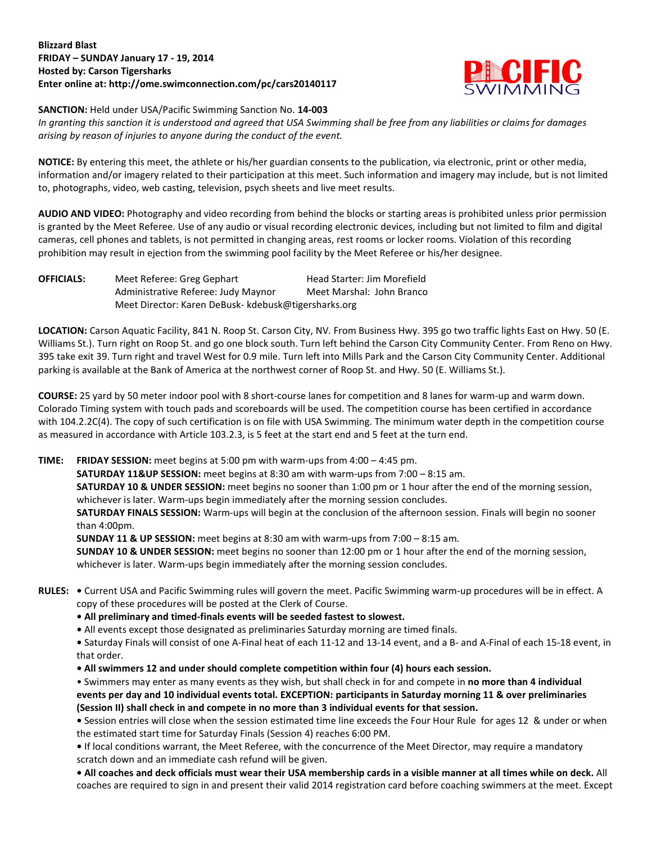## **Blizzard Blast FRIDAY – SUNDAY January 17 - 19, 2014 Hosted by: Carson Tigersharks Enter online at: http://ome.swimconnection.com/pc/cars20140117**



**SANCTION:** Held under USA/Pacific Swimming Sanction No. **14-003**

*In granting this sanction it is understood and agreed that USA Swimming shall be free from any liabilities or claims for damages arising by reason of injuries to anyone during the conduct of the event.* 

**NOTICE:** By entering this meet, the athlete or his/her guardian consents to the publication, via electronic, print or other media, information and/or imagery related to their participation at this meet. Such information and imagery may include, but is not limited to, photographs, video, web casting, television, psych sheets and live meet results.

**AUDIO AND VIDEO:** Photography and video recording from behind the blocks or starting areas is prohibited unless prior permission is granted by the Meet Referee. Use of any audio or visual recording electronic devices, including but not limited to film and digital cameras, cell phones and tablets, is not permitted in changing areas, rest rooms or locker rooms. Violation of this recording prohibition may result in ejection from the swimming pool facility by the Meet Referee or his/her designee.

**OFFICIALS:** Meet Referee: Greg Gephart Head Starter: Jim Morefield Administrative Referee: Judy Maynor Meet Marshal: John Branco Meet Director: Karen DeBusk- kdebusk@tigersharks.org

**LOCATION:** Carson Aquatic Facility, 841 N. Roop St. Carson City, NV. From Business Hwy. 395 go two traffic lights East on Hwy. 50 (E. Williams St.). Turn right on Roop St. and go one block south. Turn left behind the Carson City Community Center. From Reno on Hwy. 395 take exit 39. Turn right and travel West for 0.9 mile. Turn left into Mills Park and the Carson City Community Center. Additional parking is available at the Bank of America at the northwest corner of Roop St. and Hwy. 50 (E. Williams St.).

**COURSE:** 25 yard by 50 meter indoor pool with 8 short-course lanes for competition and 8 lanes for warm-up and warm down. Colorado Timing system with touch pads and scoreboards will be used. The competition course has been certified in accordance with 104.2.2C(4). The copy of such certification is on file with USA Swimming. The minimum water depth in the competition course as measured in accordance with Article 103.2.3, is 5 feet at the start end and 5 feet at the turn end.

**TIME: FRIDAY SESSION:** meet begins at 5:00 pm with warm-ups from 4:00 – 4:45 pm.

**SATURDAY 11&UP SESSION:** meet begins at 8:30 am with warm-ups from 7:00 – 8:15 am.

**SATURDAY 10 & UNDER SESSION:** meet begins no sooner than 1:00 pm or 1 hour after the end of the morning session, whichever is later. Warm-ups begin immediately after the morning session concludes.

**SATURDAY FINALS SESSION:** Warm-ups will begin at the conclusion of the afternoon session. Finals will begin no sooner than 4:00pm.

**SUNDAY 11 & UP SESSION:** meet begins at 8:30 am with warm-ups from 7:00 – 8:15 am.

**SUNDAY 10 & UNDER SESSION:** meet begins no sooner than 12:00 pm or 1 hour after the end of the morning session, whichever is later. Warm-ups begin immediately after the morning session concludes.

- **RULES: •** Current USA and Pacific Swimming rules will govern the meet. Pacific Swimming warm-up procedures will be in effect. A copy of these procedures will be posted at the Clerk of Course.
	- **All preliminary and timed-finals events will be seeded fastest to slowest.**
	- All events except those designated as preliminaries Saturday morning are timed finals.

**•** Saturday Finals will consist of one A-Final heat of each 11-12 and 13-14 event, and a B- and A-Final of each 15-18 event, in that order.

**• All swimmers 12 and under should complete competition within four (4) hours each session.**

• Swimmers may enter as many events as they wish, but shall check in for and compete in **no more than 4 individual events per day and 10 individual events total. EXCEPTION: participants in Saturday morning 11 & over preliminaries (Session II) shall check in and compete in no more than 3 individual events for that session.**

**•** Session entries will close when the session estimated time line exceeds the Four Hour Rule for ages 12 & under or when the estimated start time for Saturday Finals (Session 4) reaches 6:00 PM.

**•** If local conditions warrant, the Meet Referee, with the concurrence of the Meet Director, may require a mandatory scratch down and an immediate cash refund will be given.

**• All coaches and deck officials must wear their USA membership cards in a visible manner at all times while on deck.** All coaches are required to sign in and present their valid 2014 registration card before coaching swimmers at the meet. Except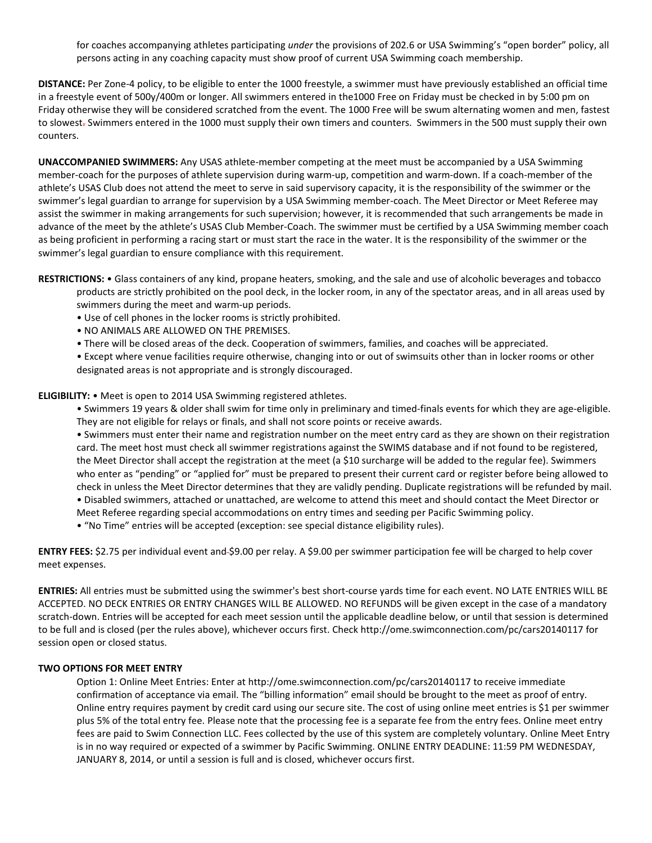for coaches accompanying athletes participating *under* the provisions of 202.6 or USA Swimming's "open border" policy, all persons acting in any coaching capacity must show proof of current USA Swimming coach membership.

**DISTANCE:** Per Zone-4 policy, to be eligible to enter the 1000 freestyle, a swimmer must have previously established an official time in a freestyle event of 500y/400m or longer. All swimmers entered in the1000 Free on Friday must be checked in by 5:00 pm on Friday otherwise they will be considered scratched from the event. The 1000 Free will be swum alternating women and men, fastest to slowest. Swimmers entered in the 1000 must supply their own timers and counters. Swimmers in the 500 must supply their own counters.

**UNACCOMPANIED SWIMMERS:** Any USAS athlete-member competing at the meet must be accompanied by a USA Swimming member-coach for the purposes of athlete supervision during warm-up, competition and warm-down. If a coach-member of the athlete's USAS Club does not attend the meet to serve in said supervisory capacity, it is the responsibility of the swimmer or the swimmer's legal guardian to arrange for supervision by a USA Swimming member-coach. The Meet Director or Meet Referee may assist the swimmer in making arrangements for such supervision; however, it is recommended that such arrangements be made in advance of the meet by the athlete's USAS Club Member-Coach. The swimmer must be certified by a USA Swimming member coach as being proficient in performing a racing start or must start the race in the water. It is the responsibility of the swimmer or the swimmer's legal guardian to ensure compliance with this requirement.

**RESTRICTIONS:** • Glass containers of any kind, propane heaters, smoking, and the sale and use of alcoholic beverages and tobacco products are strictly prohibited on the pool deck, in the locker room, in any of the spectator areas, and in all areas used by swimmers during the meet and warm-up periods.

- Use of cell phones in the locker rooms is strictly prohibited.
- NO ANIMALS ARE ALLOWED ON THE PREMISES.
- There will be closed areas of the deck. Cooperation of swimmers, families, and coaches will be appreciated.

• Except where venue facilities require otherwise, changing into or out of swimsuits other than in locker rooms or other designated areas is not appropriate and is strongly discouraged.

**ELIGIBILITY:** • Meet is open to 2014 USA Swimming registered athletes.

• Swimmers 19 years & older shall swim for time only in preliminary and timed-finals events for which they are age-eligible. They are not eligible for relays or finals, and shall not score points or receive awards.

• Swimmers must enter their name and registration number on the meet entry card as they are shown on their registration card. The meet host must check all swimmer registrations against the SWIMS database and if not found to be registered, the Meet Director shall accept the registration at the meet (a \$10 surcharge will be added to the regular fee). Swimmers who enter as "pending" or "applied for" must be prepared to present their current card or register before being allowed to check in unless the Meet Director determines that they are validly pending. Duplicate registrations will be refunded by mail.

• Disabled swimmers, attached or unattached, are welcome to attend this meet and should contact the Meet Director or Meet Referee regarding special accommodations on entry times and seeding per Pacific Swimming policy.

• "No Time" entries will be accepted (exception: see special distance eligibility rules).

**ENTRY FEES:** \$2.75 per individual event and \$9.00 per relay. A \$9.00 per swimmer participation fee will be charged to help cover meet expenses.

**ENTRIES:** All entries must be submitted using the swimmer's best short-course yards time for each event. NO LATE ENTRIES WILL BE ACCEPTED. NO DECK ENTRIES OR ENTRY CHANGES WILL BE ALLOWED. NO REFUNDS will be given except in the case of a mandatory scratch-down. Entries will be accepted for each meet session until the applicable deadline below, or until that session is determined to be full and is closed (per the rules above), whichever occurs first. Check http://ome.swimconnection.com/pc/cars20140117 for session open or closed status.

## **TWO OPTIONS FOR MEET ENTRY**

Option 1: Online Meet Entries: Enter at http://ome.swimconnection.com/pc/cars20140117 to receive immediate confirmation of acceptance via email. The "billing information" email should be brought to the meet as proof of entry. Online entry requires payment by credit card using our secure site. The cost of using online meet entries is \$1 per swimmer plus 5% of the total entry fee. Please note that the processing fee is a separate fee from the entry fees. Online meet entry fees are paid to Swim Connection LLC. Fees collected by the use of this system are completely voluntary. Online Meet Entry is in no way required or expected of a swimmer by Pacific Swimming. ONLINE ENTRY DEADLINE: 11:59 PM WEDNESDAY, JANUARY 8, 2014, or until a session is full and is closed, whichever occurs first.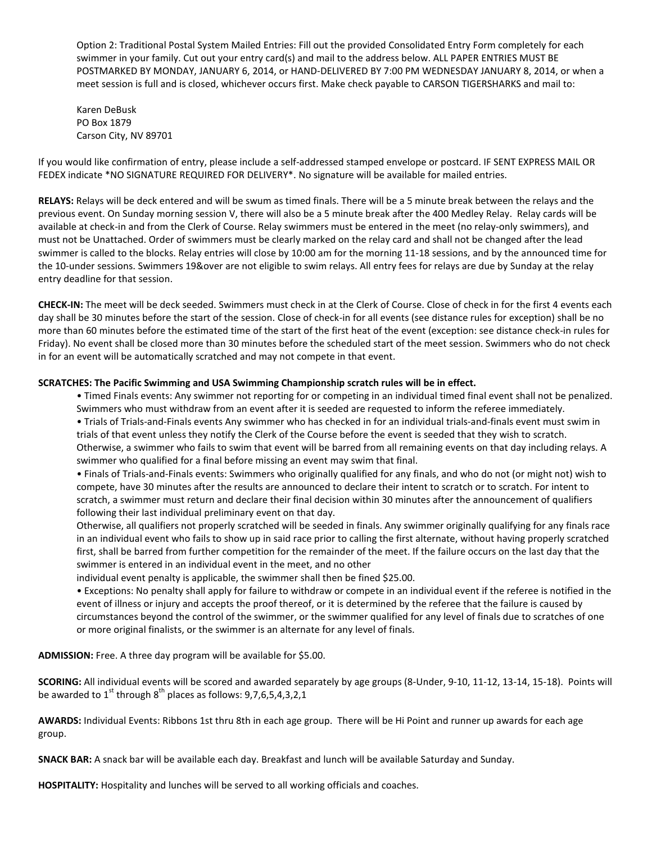Option 2: Traditional Postal System Mailed Entries: Fill out the provided Consolidated Entry Form completely for each swimmer in your family. Cut out your entry card(s) and mail to the address below. ALL PAPER ENTRIES MUST BE POSTMARKED BY MONDAY, JANUARY 6, 2014, or HAND-DELIVERED BY 7:00 PM WEDNESDAY JANUARY 8, 2014, or when a meet session is full and is closed, whichever occurs first. Make check payable to CARSON TIGERSHARKS and mail to:

Karen DeBusk PO Box 1879 Carson City, NV 89701

If you would like confirmation of entry, please include a self-addressed stamped envelope or postcard. IF SENT EXPRESS MAIL OR FEDEX indicate \*NO SIGNATURE REQUIRED FOR DELIVERY\*. No signature will be available for mailed entries.

**RELAYS:** Relays will be deck entered and will be swum as timed finals. There will be a 5 minute break between the relays and the previous event. On Sunday morning session V, there will also be a 5 minute break after the 400 Medley Relay. Relay cards will be available at check-in and from the Clerk of Course. Relay swimmers must be entered in the meet (no relay-only swimmers), and must not be Unattached. Order of swimmers must be clearly marked on the relay card and shall not be changed after the lead swimmer is called to the blocks. Relay entries will close by 10:00 am for the morning 11-18 sessions, and by the announced time for the 10-under sessions. Swimmers 19&over are not eligible to swim relays. All entry fees for relays are due by Sunday at the relay entry deadline for that session.

**CHECK-IN:** The meet will be deck seeded. Swimmers must check in at the Clerk of Course. Close of check in for the first 4 events each day shall be 30 minutes before the start of the session. Close of check-in for all events (see distance rules for exception) shall be no more than 60 minutes before the estimated time of the start of the first heat of the event (exception: see distance check-in rules for Friday). No event shall be closed more than 30 minutes before the scheduled start of the meet session. Swimmers who do not check in for an event will be automatically scratched and may not compete in that event.

## **SCRATCHES: The Pacific Swimming and USA Swimming Championship scratch rules will be in effect.**

• Timed Finals events: Any swimmer not reporting for or competing in an individual timed final event shall not be penalized. Swimmers who must withdraw from an event after it is seeded are requested to inform the referee immediately. • Trials of Trials-and-Finals events Any swimmer who has checked in for an individual trials-and-finals event must swim in trials of that event unless they notify the Clerk of the Course before the event is seeded that they wish to scratch. Otherwise, a swimmer who fails to swim that event will be barred from all remaining events on that day including relays. A

swimmer who qualified for a final before missing an event may swim that final.

• Finals of Trials-and-Finals events: Swimmers who originally qualified for any finals, and who do not (or might not) wish to compete, have 30 minutes after the results are announced to declare their intent to scratch or to scratch. For intent to scratch, a swimmer must return and declare their final decision within 30 minutes after the announcement of qualifiers following their last individual preliminary event on that day.

Otherwise, all qualifiers not properly scratched will be seeded in finals. Any swimmer originally qualifying for any finals race in an individual event who fails to show up in said race prior to calling the first alternate, without having properly scratched first, shall be barred from further competition for the remainder of the meet. If the failure occurs on the last day that the swimmer is entered in an individual event in the meet, and no other

individual event penalty is applicable, the swimmer shall then be fined \$25.00.

• Exceptions: No penalty shall apply for failure to withdraw or compete in an individual event if the referee is notified in the event of illness or injury and accepts the proof thereof, or it is determined by the referee that the failure is caused by circumstances beyond the control of the swimmer, or the swimmer qualified for any level of finals due to scratches of one or more original finalists, or the swimmer is an alternate for any level of finals.

**ADMISSION:** Free. A three day program will be available for \$5.00.

**SCORING:** All individual events will be scored and awarded separately by age groups (8-Under, 9-10, 11-12, 13-14, 15-18). Points will be awarded to  $1^{st}$  through  $8^{th}$  places as follows: 9,7,6,5,4,3,2,1

**AWARDS:** Individual Events: Ribbons 1st thru 8th in each age group. There will be Hi Point and runner up awards for each age group.

**SNACK BAR:** A snack bar will be available each day. Breakfast and lunch will be available Saturday and Sunday.

**HOSPITALITY:** Hospitality and lunches will be served to all working officials and coaches.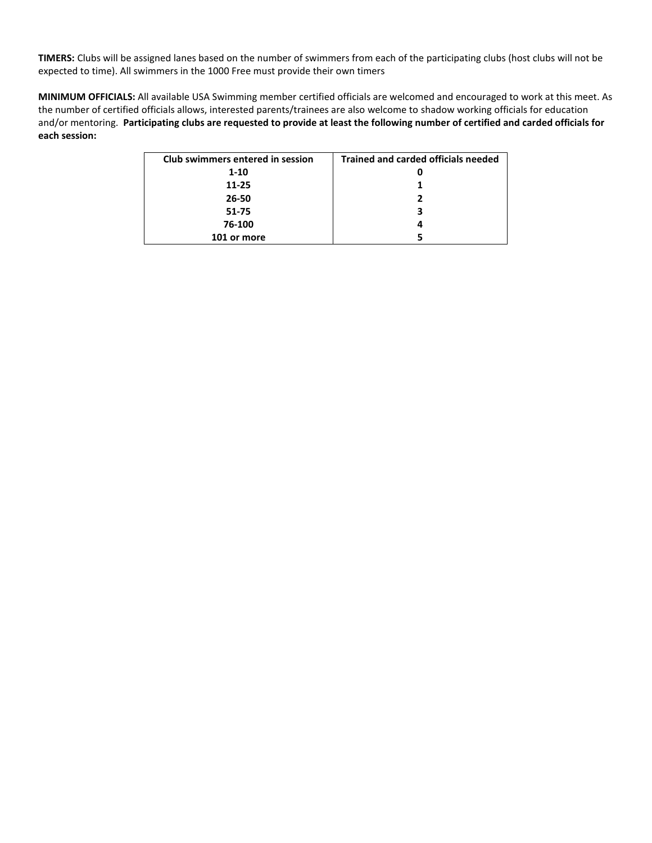**TIMERS:** Clubs will be assigned lanes based on the number of swimmers from each of the participating clubs (host clubs will not be expected to time). All swimmers in the 1000 Free must provide their own timers

**MINIMUM OFFICIALS:** All available USA Swimming member certified officials are welcomed and encouraged to work at this meet. As the number of certified officials allows, interested parents/trainees are also welcome to shadow working officials for education and/or mentoring. **Participating clubs are requested to provide at least the following number of certified and carded officials for each session:**

| Club swimmers entered in session | <b>Trained and carded officials needed</b> |
|----------------------------------|--------------------------------------------|
| $1 - 10$                         | 0                                          |
| $11 - 25$                        |                                            |
| 26-50                            |                                            |
| 51-75                            | 3                                          |
| 76-100                           |                                            |
| 101 or more                      |                                            |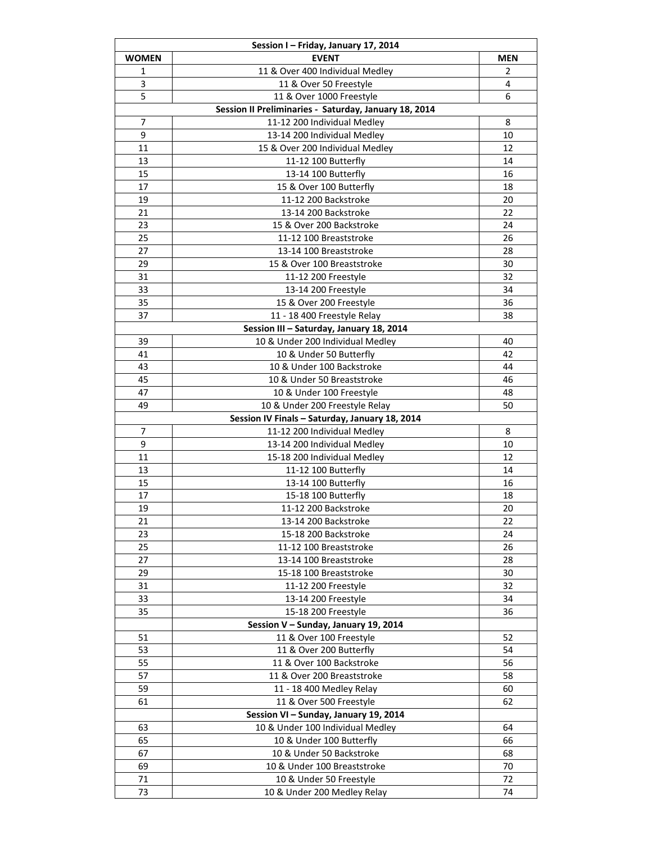| Session I - Friday, January 17, 2014 |                                                       |            |  |  |  |  |  |  |
|--------------------------------------|-------------------------------------------------------|------------|--|--|--|--|--|--|
| <b>WOMEN</b>                         | <b>EVENT</b>                                          | <b>MEN</b> |  |  |  |  |  |  |
| 1                                    | 11 & Over 400 Individual Medley                       | 2          |  |  |  |  |  |  |
| 3                                    | 11 & Over 50 Freestyle                                | 4          |  |  |  |  |  |  |
| 5                                    | 11 & Over 1000 Freestyle                              | 6          |  |  |  |  |  |  |
|                                      | Session II Preliminaries - Saturday, January 18, 2014 |            |  |  |  |  |  |  |
| 7                                    | 11-12 200 Individual Medley                           | 8          |  |  |  |  |  |  |
| 9                                    | 13-14 200 Individual Medley                           | 10         |  |  |  |  |  |  |
| 11                                   | 15 & Over 200 Individual Medley                       | 12         |  |  |  |  |  |  |
| 13                                   | 11-12 100 Butterfly                                   | 14         |  |  |  |  |  |  |
| 15                                   | 13-14 100 Butterfly                                   | 16         |  |  |  |  |  |  |
| 17                                   | 15 & Over 100 Butterfly                               | 18         |  |  |  |  |  |  |
| 19                                   |                                                       |            |  |  |  |  |  |  |
|                                      | 11-12 200 Backstroke                                  | 20         |  |  |  |  |  |  |
| 21                                   | 13-14 200 Backstroke                                  | 22         |  |  |  |  |  |  |
| 23                                   | 15 & Over 200 Backstroke                              | 24         |  |  |  |  |  |  |
| 25                                   | 11-12 100 Breaststroke                                | 26         |  |  |  |  |  |  |
| 27                                   | 13-14 100 Breaststroke                                | 28         |  |  |  |  |  |  |
| 29                                   | 15 & Over 100 Breaststroke                            | 30         |  |  |  |  |  |  |
| 31                                   | 11-12 200 Freestyle                                   | 32         |  |  |  |  |  |  |
| 33                                   | 13-14 200 Freestyle                                   | 34         |  |  |  |  |  |  |
| 35                                   | 15 & Over 200 Freestyle                               | 36         |  |  |  |  |  |  |
| 37                                   | 11 - 18 400 Freestyle Relay                           | 38         |  |  |  |  |  |  |
|                                      | Session III - Saturday, January 18, 2014              |            |  |  |  |  |  |  |
| 39                                   | 10 & Under 200 Individual Medley                      | 40         |  |  |  |  |  |  |
| 41                                   | 10 & Under 50 Butterfly                               | 42         |  |  |  |  |  |  |
| 43                                   | 10 & Under 100 Backstroke                             | 44         |  |  |  |  |  |  |
| 45                                   | 10 & Under 50 Breaststroke                            | 46         |  |  |  |  |  |  |
| 47                                   | 10 & Under 100 Freestyle                              | 48         |  |  |  |  |  |  |
| 49                                   | 10 & Under 200 Freestyle Relay                        | 50         |  |  |  |  |  |  |
|                                      | Session IV Finals - Saturday, January 18, 2014        |            |  |  |  |  |  |  |
| 7                                    | 11-12 200 Individual Medley                           | 8          |  |  |  |  |  |  |
| 9                                    | 13-14 200 Individual Medley                           | 10         |  |  |  |  |  |  |
| 11                                   | 15-18 200 Individual Medley                           | 12         |  |  |  |  |  |  |
| 13                                   | 11-12 100 Butterfly                                   | 14         |  |  |  |  |  |  |
| 15                                   | 13-14 100 Butterfly                                   | 16         |  |  |  |  |  |  |
| 17                                   | 15-18 100 Butterfly                                   | 18         |  |  |  |  |  |  |
| 19                                   | 11-12 200 Backstroke                                  | 20         |  |  |  |  |  |  |
| 21                                   | 13-14 200 Backstroke                                  | 22         |  |  |  |  |  |  |
| 23                                   | 15-18 200 Backstroke                                  | 24         |  |  |  |  |  |  |
| 25                                   | 11-12 100 Breaststroke                                | 26         |  |  |  |  |  |  |
| 27                                   | 13-14 100 Breaststroke                                | 28         |  |  |  |  |  |  |
| 29                                   | 15-18 100 Breaststroke                                | 30         |  |  |  |  |  |  |
| 31                                   | 11-12 200 Freestyle                                   | 32         |  |  |  |  |  |  |
| 33                                   | 13-14 200 Freestyle                                   | 34         |  |  |  |  |  |  |
| 35                                   | 15-18 200 Freestyle                                   | 36         |  |  |  |  |  |  |
|                                      | Session V - Sunday, January 19, 2014                  |            |  |  |  |  |  |  |
| 51                                   | 11 & Over 100 Freestyle                               | 52         |  |  |  |  |  |  |
| 53                                   | 11 & Over 200 Butterfly                               | 54         |  |  |  |  |  |  |
| 55                                   | 11 & Over 100 Backstroke                              | 56         |  |  |  |  |  |  |
| 57                                   | 11 & Over 200 Breaststroke                            | 58         |  |  |  |  |  |  |
| 59                                   | 11 - 18 400 Medley Relay                              | 60         |  |  |  |  |  |  |
| 61                                   | 11 & Over 500 Freestyle                               | 62         |  |  |  |  |  |  |
|                                      | Session VI - Sunday, January 19, 2014                 |            |  |  |  |  |  |  |
| 63                                   | 10 & Under 100 Individual Medley                      | 64         |  |  |  |  |  |  |
| 65                                   | 10 & Under 100 Butterfly                              | 66         |  |  |  |  |  |  |
| 67                                   | 10 & Under 50 Backstroke                              | 68         |  |  |  |  |  |  |
|                                      |                                                       |            |  |  |  |  |  |  |
| 69                                   | 10 & Under 100 Breaststroke                           | 70         |  |  |  |  |  |  |
| 71                                   | 10 & Under 50 Freestyle                               | 72         |  |  |  |  |  |  |
| 73                                   | 10 & Under 200 Medley Relay                           | 74         |  |  |  |  |  |  |